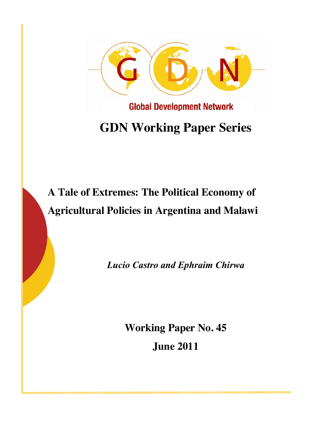

# **GDN Working Paper Series**

## **A Tale of Extremes: The Political Economy of Agricultural Policies in Argentina and Malawi**

*Lucio Castro and Ephraim Chirwa*

**Working Paper No. 45 June 2011**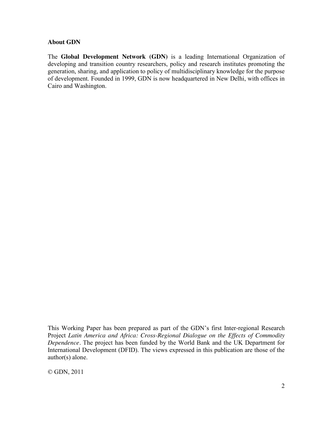#### **About GDN**

The **Global Development Network (GDN)** is a leading International Organization of developing and transition country researchers, policy and research institutes promoting the generation, sharing, and application to policy of multidisciplinary knowledge for the purpose of development. Founded in 1999, GDN is now headquartered in New Delhi, with offices in Cairo and Washington.

This Working Paper has been prepared as part of the GDN's first Inter-regional Research Project *Latin America and Africa: Cross-Regional Dialogue on the Effects of Commodity Dependence.* The project has been funded by the World Bank and the UK Department for International Development (DFID). The views expressed in this publication are those of the author(s) alone.

© GDN, 2011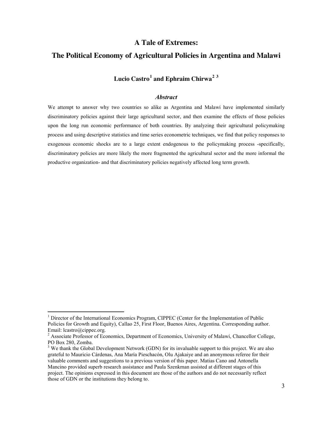#### **A Tale of Extremes:**

#### **The Political Economy of Agricultural Policies in Argentina and Malawi**

## **Lucio Castro[1](#page-2-0) and Ephraim Chirwa[2](#page-2-1) [3](#page-2-2)**

#### *Abstract*

We attempt to answer why two countries so alike as Argentina and Malawi have implemented similarly discriminatory policies against their large agricultural sector, and then examine the effects of those policies upon the long run economic performance of both countries. By analyzing their agricultural policymaking process and using descriptive statistics and time series econometric techniques, we find that policy responses to exogenous economic shocks are to a large extent endogenous to the policymaking process -specifically, discriminatory policies are more likely the more fragmented the agricultural sector and the more informal the productive organization- and that discriminatory policies negatively affected long term growth.

<span id="page-2-0"></span><sup>&</sup>lt;sup>1</sup> Director of the International Economics Program, CIPPEC (Center for the Implementation of Public Policies for Growth and Equity), Callao 25, First Floor, Buenos Aires, Argentina. Corresponding author. Email: lcastro@cippec.org.

<span id="page-2-1"></span><sup>&</sup>lt;sup>2</sup> Associate Professor of Economics, Department of Economics, University of Malawi, Chancellor College, PO Box 280, Zomba.

<span id="page-2-2"></span><sup>&</sup>lt;sup>3</sup> We thank the Global Development Network (GDN) for its invaluable support to this project. We are also grateful to Mauricio Cárdenas, Ana María Pieschacón, Olu Ajakaiye and an anonymous referee for their valuable comments and suggestions to a previous version of this paper. Matias Cano and Antonella Mancino provided superb research assistance and Paula Szenkman assisted at different stages of this project. The opinions expressed in this document are those of the authors and do not necessarily reflect those of GDN or the institutions they belong to.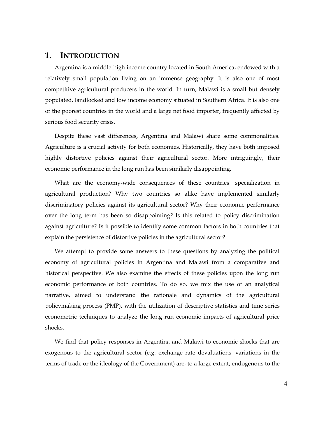#### **1. INTRODUCTION**

Argentina is a middle.high income country located in South America, endowed with a relatively small population living on an immense geography. It is also one of most competitive agricultural producers in the world. In turn, Malawi is a small but densely populated, landlocked and low income economy situated in Southern Africa. It is also one of the poorest countries in the world and a large net food importer, frequently affected by serious food security crisis.

Despite these vast differences, Argentina and Malawi share some commonalities. Agriculture is a crucial activity for both economies. Historically, they have both imposed highly distortive policies against their agricultural sector. More intriguingly, their economic performance in the long run has been similarly disappointing.

What are the economy.wide consequences of these countries´ specialization in agricultural production? Why two countries so alike have implemented similarly discriminatory policies against its agricultural sector? Why their economic performance over the long term has been so disappointing? Is this related to policy discrimination against agriculture? Is it possible to identify some common factors in both countries that explain the persistence of distortive policies in the agricultural sector?

We attempt to provide some answers to these questions by analyzing the political economy of agricultural policies in Argentina and Malawi from a comparative and historical perspective. We also examine the effects of these policies upon the long run economic performance of both countries. To do so, we mix the use of an analytical narrative, aimed to understand the rationale and dynamics of the agricultural policymaking process (PMP), with the utilization of descriptive statistics and time series econometric techniques to analyze the long run economic impacts of agricultural price shocks.

We find that policy responses in Argentina and Malawi to economic shocks that are exogenous to the agricultural sector (e.g. exchange rate devaluations, variations in the terms of trade or the ideology of the Government) are, to a large extent, endogenous to the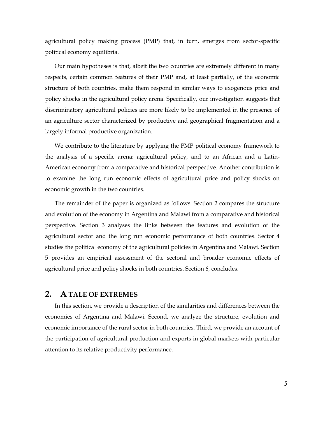agricultural policy making process (PMP) that, in turn, emerges from sector-specific political economy equilibria.

Our main hypotheses is that, albeit the two countries are extremely different in many respects, certain common features of their PMP and, at least partially, of the economic structure of both countries, make them respond in similar ways to exogenous price and policy shocks in the agricultural policy arena. Specifically, our investigation suggests that discriminatory agricultural policies are more likely to be implemented in the presence of an agriculture sector characterized by productive and geographical fragmentation and a largely informal productive organization.

We contribute to the literature by applying the PMP political economy framework to the analysis of a specific arena: agricultural policy, and to an African and a Latin. American economy from a comparative and historical perspective. Another contribution is to examine the long run economic effects of agricultural price and policy shocks on economic growth in the two countries.

The remainder of the paper is organized as follows. Section 2 compares the structure and evolution of the economy in Argentina and Malawi from a comparative and historical perspective. Section 3 analyses the links between the features and evolution of the agricultural sector and the long run economic performance of both countries. Sector 4 studies the political economy of the agricultural policies in Argentina and Malawi. Section 5 provides an empirical assessment of the sectoral and broader economic effects of agricultural price and policy shocks in both countries. Section 6, concludes.

#### **2. A TALE OF EXTREMES**

In this section, we provide a description of the similarities and differences between the economies of Argentina and Malawi. Second, we analyze the structure, evolution and economic importance of the rural sector in both countries. Third, we provide an account of the participation of agricultural production and exports in global markets with particular attention to its relative productivity performance.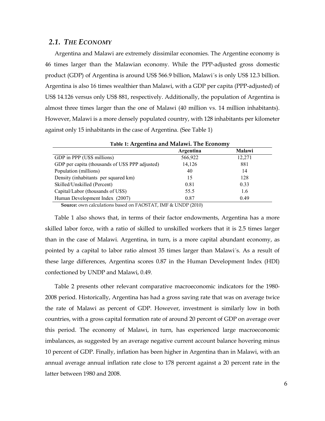#### *2.1. THE ECONOMY*

Argentina and Malawi are extremely dissimilar economies. The Argentine economy is 46 times larger than the Malawian economy. While the PPP.adjusted gross domestic product (GDP) of Argentina is around US\$ 566.9 billion, Malawi´s is only US\$ 12.3 billion. Argentina is also 16 times wealthier than Malawi, with a GDP per capita (PPP.adjusted) of US\$ 14.126 versus only US\$ 881, respectively. Additionally, the population of Argentina is almost three times larger than the one of Malawi (40 million vs. 14 million inhabitants). However, Malawi is a more densely populated country, with 128 inhabitants per kilometer against only 15 inhabitants in the case of Argentina. (See Table 1)

| Table 1: Argentina and Malawi. The Economy      |           |               |  |  |  |  |  |  |
|-------------------------------------------------|-----------|---------------|--|--|--|--|--|--|
|                                                 | Argentina | <b>Malawi</b> |  |  |  |  |  |  |
| GDP in PPP (U\$S millions)                      | 566,922   | 12,271        |  |  |  |  |  |  |
| GDP per capita (thousands of U\$S PPP adjusted) | 14,126    | 881           |  |  |  |  |  |  |
| Population (millions)                           | 40        | 14            |  |  |  |  |  |  |
| Density (inhabitants per squared km)            | 15        | 128           |  |  |  |  |  |  |
| Skilled/Unskilled (Percent)                     | 0.81      | 0.33          |  |  |  |  |  |  |
| Capital/Labor (thousands of U\$S)               | 55.5      | 1.6           |  |  |  |  |  |  |
| Human Development Index (2007)                  | 0.87      | 0.49          |  |  |  |  |  |  |

**Source:** own calculations based on FAOSTAT, IMF & UNDP (2010)

Table 1 also shows that, in terms of their factor endowments, Argentina has a more skilled labor force, with a ratio of skilled to unskilled workers that it is 2.5 times larger than in the case of Malawi. Argentina, in turn, is a more capital abundant economy, as pointed by a capital to labor ratio almost 35 times larger than Malawi´s. As a result of these large differences, Argentina scores 0.87 in the Human Development Index (HDI) confectioned by UNDP and Malawi, 0.49.

Table 2 presents other relevant comparative macroeconomic indicators for the 1980. 2008 period. Historically, Argentina has had a gross saving rate that was on average twice the rate of Malawi as percent of GDP. However, investment is similarly low in both countries, with a gross capital formation rate of around 20 percent of GDP on average over this period. The economy of Malawi, in turn, has experienced large macroeconomic imbalances, as suggested by an average negative current account balance hovering minus 10 percent of GDP. Finally, inflation has been higher in Argentina than in Malawi, with an annual average annual inflation rate close to 178 percent against a 20 percent rate in the latter between 1980 and 2008.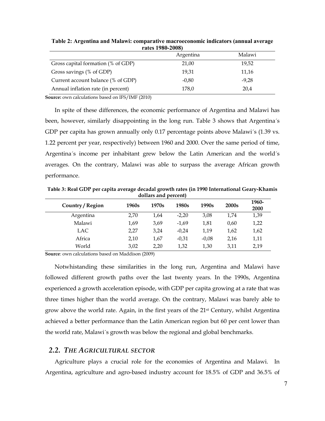|                                    | 1 ales 1700-40001<br>Argentina | Malawi  |
|------------------------------------|--------------------------------|---------|
| Gross capital formation (% of GDP) | 21,00                          | 19,52   |
| Gross savings (% of GDP)           | 19,31                          | 11,16   |
| Current account balance (% of GDP) | $-0.80$                        | $-9,28$ |
| Annual inflation rate (in percent) | 178,0                          | 20,4    |

**Table 2: Argentina and Malawi: comparative macroeconomic indicators (annual average rates 1980-2008)**

**Source:** own calculations based on IFS/IMF (2010)

In spite of these differences, the economic performance of Argentina and Malawi has been, however, similarly disappointing in the long run. [Table 3](#page-6-0) shows that Argentina´s GDP per capita has grown annually only 0.17 percentage points above Malawi's (1.39 vs. 1.22 percent per year, respectively) between 1960 and 2000. Over the same period of time, Argentina´s income per inhabitant grew below the Latin American and the world´s averages. On the contrary, Malawi was able to surpass the average African growth performance.

<span id="page-6-0"></span>Table 3: Real GDP per capita average decadal growth rates (in 1990 International Geary-Khamis **dollars and percent)**

| Country / Region | 1960s | 1970s | 1980s   | 1990s   | 2000 <sub>s</sub> | 1960-<br>2000 |
|------------------|-------|-------|---------|---------|-------------------|---------------|
| Argentina        | 2,70  | 1,64  | $-2,20$ | 3,08    | 1.74              | 1,39          |
| Malawi           | 1,69  | 3,69  | $-1.69$ | 1,81    | 0,60              | 1,22          |
| LAC              | 2,27  | 3,24  | $-0.24$ | 1,19    | 1,62              | 1,62          |
| Africa           | 2,10  | 1.67  | $-0,31$ | $-0.08$ | 2,16              | 1,11          |
| World            | 3,02  | 2,20  | 1,32    | 1,30    | 3,11              | 2,19          |

**Source**: own calculations based on Maddison (2009)

Notwhistanding these similarities in the long run, Argentina and Malawi have followed different growth paths over the last twenty years. In the 1990s, Argentina experienced a growth acceleration episode, with GDP per capita growing at a rate that was three times higher than the world average. On the contrary, Malawi was barely able to grow above the world rate. Again, in the first years of the  $21<sup>st</sup>$  Century, whilst Argentina achieved a better performance than the Latin American region but 60 per cent lower than the world rate, Malawi´s growth was below the regional and global benchmarks.

#### *2.2. THE AGRICULTURAL SECTOR*

Agriculture plays a crucial role for the economies of Argentina and Malawi. In Argentina, agriculture and agro.based industry account for 18.5% of GDP and 36.5% of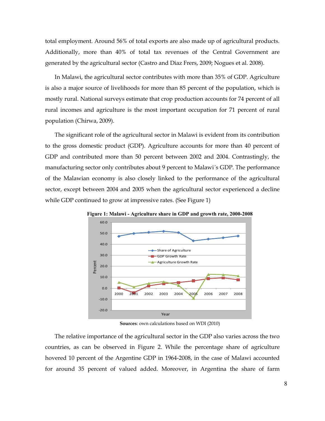total employment. Around 56% of total exports are also made up of agricultural products. Additionally, more than 40% of total tax revenues of the Central Government are generated by the agricultural sector (Castro and Diaz Frers, 2009; Nogues et al. 2008).

In Malawi, the agricultural sector contributes with more than 35% of GDP. Agriculture is also a major source of livelihoods for more than 85 percent of the population, which is mostly rural. National surveys estimate that crop production accounts for 74 percent of all rural incomes and agriculture is the most important occupation for 71 percent of rural population (Chirwa, 2009).

The significant role of the agricultural sector in Malawi is evident from its contribution to the gross domestic product (GDP). Agriculture accounts for more than 40 percent of GDP and contributed more than 50 percent between 2002 and 2004. Contrastingly, the manufacturing sector only contributes about 9 percent to Malawi´s GDP. The performance of the Malawian economy is also closely linked to the performance of the agricultural sector, except between 2004 and 2005 when the agricultural sector experienced a decline while GDP continued to grow at impressive rates. (See Figure 1)



**Figure 1: Malawi - Agriculture share in GDP and growth rate, 2000-2008**

**Sources**: own calculations based on WDI (2010)

The relative importance of the agricultural sector in the GDP also varies across the two countries, as can be observed in Figure 2. While the percentage share of agriculture hovered 10 percent of the Argentine GDP in 1964.2008, in the case of Malawi accounted for around 35 percent of valued added. Moreover, in Argentina the share of farm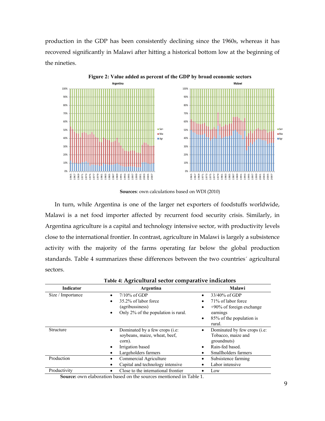production in the GDP has been consistently declining since the 1960s, whereas it has recovered significantly in Malawi after hitting a historical bottom low at the beginning of the nineties.



**Sources**: own calculations based on WDI (2010)

In turn, while Argentina is one of the larger net exporters of foodstuffs worldwide, Malawi is a net food importer affected by recurrent food security crisis. Similarly, in Argentina agriculture is a capital and technology intensive sector, with productivity levels close to the international frontier. In contrast, agriculture in Malawi is largely a subsistence activity with the majority of the farms operating far below the global production standards. Table 4 summarizes these differences between the two countries´ agricultural sectors.

| <b>Indicator</b>  | Argentina                                                                                                                                    | Malawi                                                                                                                                      |  |  |
|-------------------|----------------------------------------------------------------------------------------------------------------------------------------------|---------------------------------------------------------------------------------------------------------------------------------------------|--|--|
| Size / Importance | $7/10\%$ of GDP<br>$\bullet$<br>35.2% of labor force<br>$\bullet$<br>(agribussiness)<br>Only 2% of the population is rural.<br>$\bullet$     | 33/40% of GDP<br>$\bullet$<br>71% of labor force<br>$+90\%$ of foreign exchange<br>٠<br>earnings<br>85% of the population is<br>٠<br>rural. |  |  |
| <b>Structure</b>  | Dominated by a few crops ( <i>i.e.</i> )<br>$\bullet$<br>soybeans, maize, wheat, beef,<br>corn).<br>Irrigation based<br>Largeholders farmers | Dominated by few crops ( <i>i.e.</i> )<br>Tobacco, maize and<br>groundnuts)<br>Rain-fed based.<br>Smallholders farmers                      |  |  |
| Production        | Commercial Agriculture<br>Capital and technology intensive                                                                                   | Subsistence farming<br>Labor intensive                                                                                                      |  |  |
| Productivity      | Close to the international frontier                                                                                                          | $_{\text{low}}$                                                                                                                             |  |  |

| Table 4: Agricultural sector comparative indicators |
|-----------------------------------------------------|
|-----------------------------------------------------|

**Source:** own elaboration based on the sources mentioned in Table 1.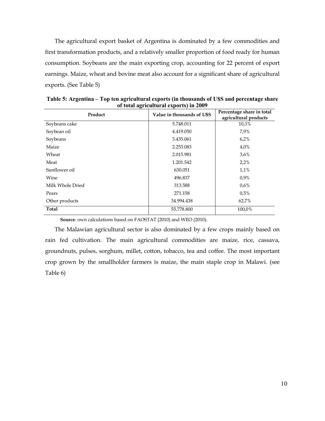The agricultural export basket of Argentina is dominated by a few commodities and first transformation products, and a relatively smaller proportion of food ready for human consumption. Soybeans are the main exporting crop, accounting for 22 percent of export earnings. Maize, wheat and bovine meat also account for a significant share of agricultural exports. (See Table 5)

| Product          | Value in thousands of U\$S | Percentage share in total<br>agricultural products |  |  |
|------------------|----------------------------|----------------------------------------------------|--|--|
| Soybeans cake    | 5.748.011                  | 10,3%                                              |  |  |
| Soybean oil      | 4.419.050                  | 7,9%                                               |  |  |
| Soybeans         | 3.435.061                  | $6.2\%$                                            |  |  |
| Maize            | 2.253.083                  | 4,0%                                               |  |  |
| Wheat            | 2.015.981                  | 3,6%                                               |  |  |
| Meat             | 1.201.542                  | 2,2%                                               |  |  |
| Sunflower oil    | 630.051                    | 1.1%                                               |  |  |
| Wine             | 496.837                    | $0.9\%$                                            |  |  |
| Milk Whole Dried | 313.588                    | $0.6\%$                                            |  |  |
| Pears            | 271.158                    | 0.5%                                               |  |  |
| Other products   | 34.994.438                 | 62,7%                                              |  |  |
| Total            | 55.778.800                 | 100,0%                                             |  |  |

**Table 5: Argentina – Top ten agricultural exports (in thousands of U\$S and percentage share of total agricultural exports) in 2009**

**Source**: own calculations based on FAOSTAT (2010) and WEO (2010).

The Malawian agricultural sector is also dominated by a few crops mainly based on rain fed cultivation. The main agricultural commodities are maize, rice, cassava, groundnuts, pulses, sorghum, millet, cotton, tobacco, tea and coffee. The most important crop grown by the smallholder farmers is maize, the main staple crop in Malawi. (see Table 6)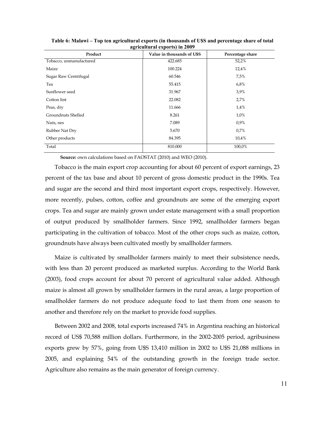| o<br>Product            | Value in thousands of U\$S | Percentage share |
|-------------------------|----------------------------|------------------|
| Tobacco, unmanufactured | 422.685                    | 52,2%            |
| Maize                   | 100.224                    | 12,4%            |
| Sugar Raw Centrifugal   | 60.546                     | 7,5%             |
| Tea                     | 55.415                     | 6,8%             |
| Sunflower seed          | 31.967                     | 3,9%             |
| Cotton lint             | 22.082                     | 2,7%             |
| Peas, dry               | 11.666                     | 1,4%             |
| Groundnuts Shelled      | 8.261                      | 1,0%             |
| Nuts, nes               | 7.089                      | 0,9%             |
| Rubber Nat Dry          | 5.670                      | 0.7%             |
| Other products          | 84.395                     | 10,4%            |
| Total                   | 810.000                    | 100,0%           |

**Table 6: Malawi – Top ten agricultural exports (in thousands of U\$S and percentage share of total agricultural exports) in 2009**

Tobacco is the main export crop accounting for about 60 percent of export earnings, 23 percent of the tax base and about 10 percent of gross domestic product in the 1990s. Tea and sugar are the second and third most important export crops, respectively. However, more recently, pulses, cotton, coffee and groundnuts are some of the emerging export crops. Tea and sugar are mainly grown under estate management with a small proportion of output produced by smallholder farmers. Since 1992, smallholder farmers began participating in the cultivation of tobacco. Most of the other crops such as maize, cotton, groundnuts have always been cultivated mostly by smallholder farmers.

Maize is cultivated by smallholder farmers mainly to meet their subsistence needs, with less than 20 percent produced as marketed surplus. According to the World Bank (2003), food crops account for about 70 percent of agricultural value added. Although maize is almost all grown by smallholder farmers in the rural areas, a large proportion of smallholder farmers do not produce adequate food to last them from one season to another and therefore rely on the market to provide food supplies.

Between 2002 and 2008, total exports increased 74% in Argentina reaching an historical record of US\$ 70,588 million dollars. Furthermore, in the 2002.2005 period, agribusiness exports grew by 57%, going from U\$S 13,410 million in 2002 to U\$S 21,088 millions in 2005, and explaining 54% of the outstanding growth in the foreign trade sector. Agriculture also remains as the main generator of foreign currency.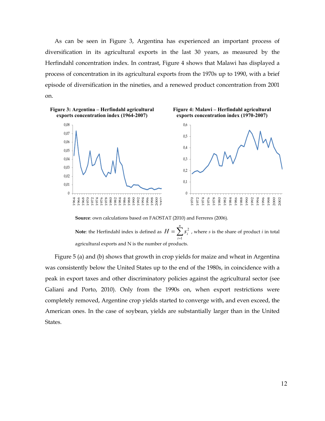As can be seen in Figure 3, Argentina has experienced an important process of diversification in its agricultural exports in the last 30 years, as measured by the Herfindahl concentration index. In contrast, Figure 4 shows that Malawi has displayed a process of concentration in its agricultural exports from the 1970s up to 1990, with a brief episode of diversification in the nineties, and a renewed product concentration from 2001 on.



**Source**: own calculations based on FAOSTAT (2010) and Ferreres (2006).

**Note**: the Herfindahl index is defined as  $H = \sum_{i=1}^{n}$ *i*  $H = \sum s_i^2$ 1  $\frac{2}{i}$ , where *s* is the share of product *i* in total agricultural exports and N is the number of products.

Figure 5 (a) and (b) shows that growth in crop yields for maize and wheat in Argentina was consistently below the United States up to the end of the 1980s, in coincidence with a peak in export taxes and other discriminatory policies against the agricultural sector (see Galiani and Porto, 2010). Only from the 1990s on, when export restrictions were completely removed, Argentine crop yields started to converge with, and even exceed, the American ones. In the case of soybean, yields are substantially larger than in the United States.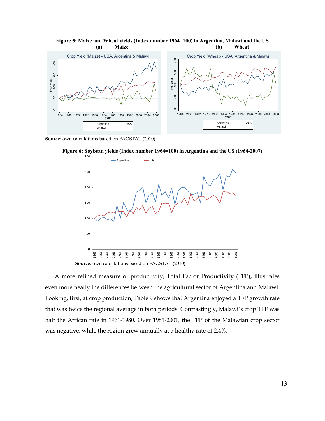

**Figure 5: Maize and Wheat yields (Index number 1964=100) in Argentina, Malawi and the US (a) Maize (b) Wheat**

**Source**: own calculations based on FAOSTAT (2010)

**Figure 6: Soybean yields (Index number 1964=100) in Argentina and the US (1964-2007)**



A more refined measure of productivity, Total Factor Productivity (TFP), illustrates even more neatly the differences between the agricultural sector of Argentina and Malawi. Looking, first, at crop production, Table 9 shows that Argentina enjoyed a TFP growth rate that was twice the regional average in both periods. Contrastingly, Malawi´s crop TPF was half the African rate in 1961.1980. Over 1981.2001, the TFP of the Malawian crop sector was negative, while the region grew annually at a healthy rate of 2.4%.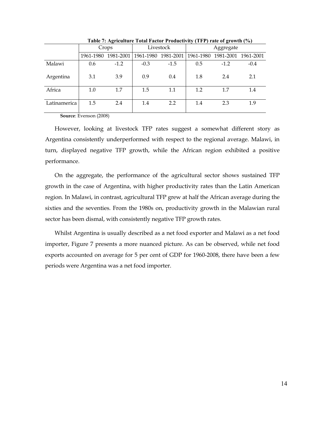|              | Crops |                     |        | Livestock | Aggregate |                                                     |        |  |
|--------------|-------|---------------------|--------|-----------|-----------|-----------------------------------------------------|--------|--|
|              |       | 1961-1980 1981-2001 |        |           |           | 1961-1980 1981-2001   1961-1980 1981-2001 1961-2001 |        |  |
| Malawi       | 0.6   | $-1.2$              | $-0.3$ | $-1.5$    | 0.5       | $-1.2$                                              | $-0.4$ |  |
| Argentina    | 3.1   | 3.9                 | 0.9    | 0.4       | 1.8       | 2.4                                                 | 2.1    |  |
| Africa       | 1.0   | 1.7                 | 1.5    | 1.1       | 1.2       | 1.7                                                 | 1.4    |  |
| Latinamerica | 1.5   | 2.4                 | 1.4    | 2.2       | 1.4       | 2.3                                                 | 1.9    |  |

**Table 7: Agriculture Total Factor Productivity (TFP) rate of growth (%)**

**Source**: Evenson (2008)

However, looking at livestock TFP rates suggest a somewhat different story as Argentina consistently underperformed with respect to the regional average. Malawi, in turn, displayed negative TFP growth, while the African region exhibited a positive performance.

On the aggregate, the performance of the agricultural sector shows sustained TFP growth in the case of Argentina, with higher productivity rates than the Latin American region. In Malawi, in contrast, agricultural TFP grew at half the African average during the sixties and the seventies. From the 1980s on, productivity growth in the Malawian rural sector has been dismal, with consistently negative TFP growth rates.

Whilst Argentina is usually described as a net food exporter and Malawi as a net food importer, Figure 7 presents a more nuanced picture. As can be observed, while net food exports accounted on average for 5 per cent of GDP for 1960.2008, there have been a few periods were Argentina was a net food importer.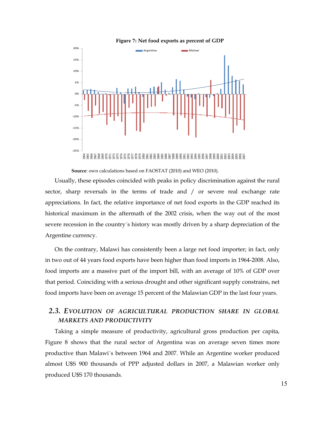



Usually, these episodes coincided with peaks in policy discrimination against the rural sector, sharp reversals in the terms of trade and / or severe real exchange rate appreciations. In fact, the relative importance of net food exports in the GDP reached its historical maximum in the aftermath of the 2002 crisis, when the way out of the most severe recession in the country´s history was mostly driven by a sharp depreciation of the Argentine currency.

On the contrary, Malawi has consistently been a large net food importer; in fact, only in two out of 44 years food exports have been higher than food imports in 1964.2008. Also, food imports are a massive part of the import bill, with an average of 10% of GDP over that period. Coinciding with a serious drought and other significant supply constrains, net food imports have been on average 15 percent of the Malawian GDP in the last four years.

## *2.3. EVOLUTION OF AGRICULTURAL PRODUCTION SHARE IN GLOBAL MARKETS AND PRODUCTIVITY*

Taking a simple measure of productivity, agricultural gross production per capita, Figure 8 shows that the rural sector of Argentina was on average seven times more productive than Malawi´s between 1964 and 2007. While an Argentine worker produced almost U\$S 900 thousands of PPP adjusted dollars in 2007, a Malawian worker only produced U\$S 170 thousands.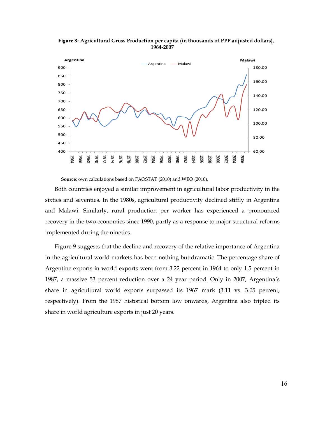



Both countries enjoyed a similar improvement in agricultural labor productivity in the sixties and seventies. In the 1980s, agricultural productivity declined stiffly in Argentina and Malawi. Similarly, rural production per worker has experienced a pronounced recovery in the two economies since 1990, partly as a response to major structural reforms implemented during the nineties.

Figure 9 suggests that the decline and recovery of the relative importance of Argentina in the agricultural world markets has been nothing but dramatic. The percentage share of Argentine exports in world exports went from 3.22 percent in 1964 to only 1.5 percent in 1987, a massive 53 percent reduction over a 24 year period. Only in 2007, Argentina´s share in agricultural world exports surpassed its 1967 mark (3.11 vs. 3.05 percent, respectively). From the 1987 historical bottom low onwards, Argentina also tripled its share in world agriculture exports in just 20 years.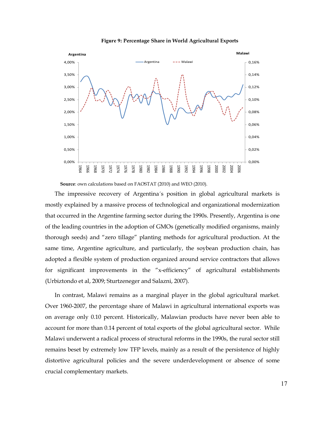

**Figure 9: Percentage Share in World Agricultural Exports**

The impressive recovery of Argentina´s position in global agricultural markets is mostly explained by a massive process of technological and organizational modernization that occurred in the Argentine farming sector during the 1990s. Presently, Argentina is one of the leading countries in the adoption of GMOs (genetically modified organisms, mainly thorough seeds) and "zero tillage" planting methods for agricultural production. At the same time, Argentine agriculture, and particularly, the soybean production chain, has adopted a flexible system of production organized around service contractors that allows for significant improvements in the "x-efficiency" of agricultural establishments (Urbiztondo et al, 2009; Sturtzeneger and Salazni, 2007).

In contrast, Malawi remains as a marginal player in the global agricultural market. Over 1960.2007, the percentage share of Malawi in agricultural international exports was on average only 0.10 percent. Historically, Malawian products have never been able to account for more than 0.14 percent of total exports of the global agricultural sector. While Malawi underwent a radical process of structural reforms in the 1990s, the rural sector still remains beset by extremely low TFP levels, mainly as a result of the persistence of highly distortive agricultural policies and the severe underdevelopment or absence of some crucial complementary markets.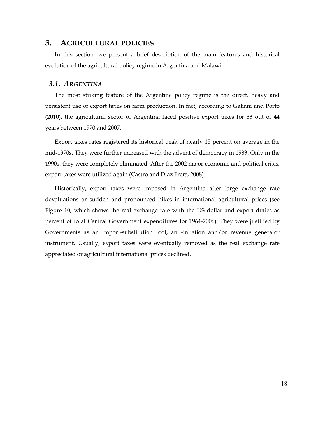#### **3. AGRICULTURAL POLICIES**

In this section, we present a brief description of the main features and historical evolution of the agricultural policy regime in Argentina and Malawi.

#### *3.1. ARGENTINA*

The most striking feature of the Argentine policy regime is the direct, heavy and persistent use of export taxes on farm production. In fact, according to Galiani and Porto (2010), the agricultural sector of Argentina faced positive export taxes for 33 out of 44 years between 1970 and 2007.

Export taxes rates registered its historical peak of nearly 15 percent on average in the mid.1970s. They were further increased with the advent of democracy in 1983. Only in the 1990s, they were completely eliminated. After the 2002 major economic and political crisis, export taxes were utilized again (Castro and Diaz Frers, 2008).

Historically, export taxes were imposed in Argentina after large exchange rate devaluations or sudden and pronounced hikes in international agricultural prices (see Figure 10, which shows the real exchange rate with the US dollar and export duties as percent of total Central Government expenditures for 1964.2006). They were justified by Governments as an import-substitution tool, anti-inflation and/or revenue generator instrument. Usually, export taxes were eventually removed as the real exchange rate appreciated or agricultural international prices declined.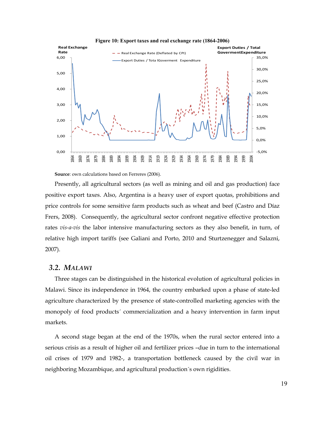

**Figure 10: Export taxes and real exchange rate (1864-2006)**

**Source**: own calculations based on Ferreres (2006).

Presently, all agricultural sectors (as well as mining and oil and gas production) face positive export taxes. Also, Argentina is a heavy user of export quotas, prohibitions and price controls for some sensitive farm products such as wheat and beef (Castro and Díaz Frers, 2008). Consequently, the agricultural sector confront negative effective protection rates *vis-a-vis* the labor intensive manufacturing sectors as they also benefit, in turn, of relative high import tariffs (see Galiani and Porto, 2010 and Sturtzenegger and Salazni, 2007).

#### *3.2. MALAWI*

Three stages can be distinguished in the historical evolution of agricultural policies in Malawi. Since its independence in 1964, the country embarked upon a phase of state.led agriculture characterized by the presence of state-controlled marketing agencies with the monopoly of food products´ commercialization and a heavy intervention in farm input markets.

A second stage began at the end of the 1970s, when the rural sector entered into a serious crisis as a result of higher oil and fertilizer prices –due in turn to the international oil crises of 1979 and 1982., a transportation bottleneck caused by the civil war in neighboring Mozambique, and agricultural production´s own rigidities.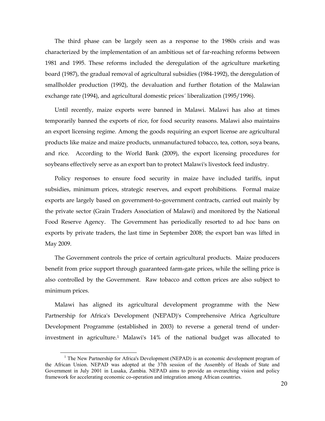The third phase can be largely seen as a response to the 1980s crisis and was characterized by the implementation of an ambitious set of far.reaching reforms between 1981 and 1995. These reforms included the deregulation of the agriculture marketing board (1987), the gradual removal of agricultural subsidies (1984.1992), the deregulation of smallholder production (1992), the devaluation and further flotation of the Malawian exchange rate (1994), and agricultural domestic prices´ liberalization (1995/1996).

Until recently, maize exports were banned in Malawi. Malawi has also at times temporarily banned the exports of rice, for food security reasons. Malawi also maintains an export licensing regime. Among the goods requiring an export license are agricultural products like maize and maize products, unmanufactured tobacco, tea, cotton, soya beans, and rice. According to the World Bank (2009), the export licensing procedures for soybeans effectively serve as an export ban to protect Malawi's livestock feed industry.

Policy responses to ensure food security in maize have included tariffs, input subsidies, minimum prices, strategic reserves, and export prohibitions. Formal maize exports are largely based on government.to.government contracts, carried out mainly by the private sector (Grain Traders Association of Malawi) and monitored by the National Food Reserve Agency. The Government has periodically resorted to ad hoc bans on exports by private traders, the last time in September 2008; the export ban was lifted in May 2009.

The Government controls the price of certain agricultural products. Maize producers benefit from price support through guaranteed farm.gate prices, while the selling price is also controlled by the Government. Raw tobacco and cotton prices are also subject to minimum prices.

Malawi has aligned its agricultural development programme with the New Partnership for Africa's Development (NEPAD)'s Comprehensive Africa Agriculture Development Programme (established in 2003) to reverse a general trend of under. investment in agriculture.[1](#page-19-0) Malawi's 14% of the national budget was allocated to

<span id="page-19-0"></span><sup>&</sup>lt;sup>1</sup> The New Partnership for Africa's Development (NEPAD) is an economic development program of the African Union. NEPAD was adopted at the 37th session of the Assembly of Heads of State and Government in July 2001 in Lusaka, Zambia. NEPAD aims to provide an overarching vision and policy framework for accelerating economic co-operation and integration among African countries.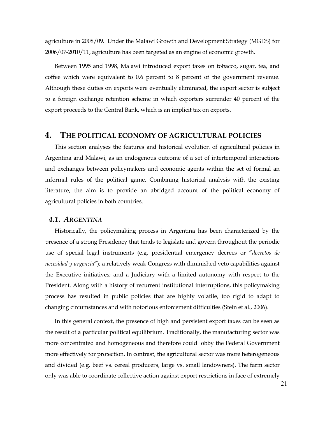agriculture in 2008/09. Under the Malawi Growth and Development Strategy (MGDS) for 2006/07.2010/11, agriculture has been targeted as an engine of economic growth.

Between 1995 and 1998, Malawi introduced export taxes on tobacco, sugar, tea, and coffee which were equivalent to 0.6 percent to 8 percent of the government revenue. Although these duties on exports were eventually eliminated, the export sector is subject to a foreign exchange retention scheme in which exporters surrender 40 percent of the export proceeds to the Central Bank, which is an implicit tax on exports.

#### **4. THE POLITICAL ECONOMY OF AGRICULTURAL POLICIES**

This section analyses the features and historical evolution of agricultural policies in Argentina and Malawi, as an endogenous outcome of a set of intertemporal interactions and exchanges between policymakers and economic agents within the set of formal an informal rules of the political game. Combining historical analysis with the existing literature, the aim is to provide an abridged account of the political economy of agricultural policies in both countries.

#### *4.1. ARGENTINA*

Historically, the policymaking process in Argentina has been characterized by the presence of a strong Presidency that tends to legislate and govern throughout the periodic use of special legal instruments (e.g. presidential emergency decrees or "*decretos de necesidad y urgencia*"); a relatively weak Congress with diminished veto capabilities against the Executive initiatives; and a Judiciary with a limited autonomy with respect to the President. Along with a history of recurrent institutional interruptions, this policymaking process has resulted in public policies that are highly volatile, too rigid to adapt to changing circumstances and with notorious enforcement difficulties (Stein et al., 2006).

In this general context, the presence of high and persistent export taxes can be seen as the result of a particular political equilibrium. Traditionally, the manufacturing sector was more concentrated and homogeneous and therefore could lobby the Federal Government more effectively for protection. In contrast, the agricultural sector was more heterogeneous and divided (e.g. beef vs. cereal producers, large vs. small landowners). The farm sector only was able to coordinate collective action against export restrictions in face of extremely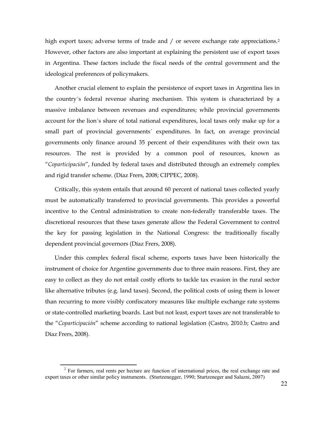high export taxes; adverse terms of trade and / or severe exchange rate appreciations.<sup>2</sup> However, other factors are also important at explaining the persistent use of export taxes in Argentina. These factors include the fiscal needs of the central government and the ideological preferences of policymakers.

Another crucial element to explain the persistence of export taxes in Argentina lies in the country´s federal revenue sharing mechanism. This system is characterized by a massive imbalance between revenues and expenditures; while provincial governments account for the lion´s share of total national expenditures, local taxes only make up for a small part of provincial governments´ expenditures. In fact, on average provincial governments only finance around 35 percent of their expenditures with their own tax resources. The rest is provided by a common pool of resources, known as "*Coparticipación*", funded by federal taxes and distributed through an extremely complex and rigid transfer scheme. (Díaz Frers, 2008; CIPPEC, 2008).

Critically, this system entails that around 60 percent of national taxes collected yearly must be automatically transferred to provincial governments. This provides a powerful incentive to the Central administration to create non.federally transferable taxes. The discretional resources that these taxes generate allow the Federal Government to control the key for passing legislation in the National Congress: the traditionally fiscally dependent provincial governors (Díaz Frers, 2008).

Under this complex federal fiscal scheme, exports taxes have been historically the instrument of choice for Argentine governments due to three main reasons. First, they are easy to collect as they do not entail costly efforts to tackle tax evasion in the rural sector like alternative tributes (e.g. land taxes). Second, the political costs of using them is lower than recurring to more visibly confiscatory measures like multiple exchange rate systems or state.controlled marketing boards. Last but not least, export taxes are not transferable to the "Coparticipación" scheme according to national legislation (Castro, 2010.b; Castro and Díaz Frers, 2008).

<span id="page-21-0"></span> $11$ <sup>2</sup> For farmers, real rents per hectare are function of international prices, the real exchange rate and export taxes or other similar policy instruments. (Sturtzenegger, 1990; Sturtzeneger and Salazni, 2007)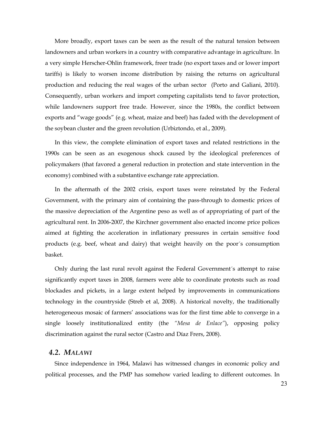More broadly, export taxes can be seen as the result of the natural tension between landowners and urban workers in a country with comparative advantage in agriculture. In a very simple Herscher.Ohlin framework, freer trade (no export taxes and or lower import tariffs) is likely to worsen income distribution by raising the returns on agricultural production and reducing the real wages of the urban sector (Porto and Galiani, 2010). Consequently, urban workers and import competing capitalists tend to favor protection, while landowners support free trade. However, since the 1980s, the conflict between exports and "wage goods" (e.g. wheat, maize and beef) has faded with the development of the soybean cluster and the green revolution (Urbiztondo, et al., 2009).

In this view, the complete elimination of export taxes and related restrictions in the 1990s can be seen as an exogenous shock caused by the ideological preferences of policymakers (that favored a general reduction in protection and state intervention in the economy) combined with a substantive exchange rate appreciation.

In the aftermath of the 2002 crisis, export taxes were reinstated by the Federal Government, with the primary aim of containing the pass.through to domestic prices of the massive depreciation of the Argentine peso as well as of appropriating of part of the agricultural rent. In 2006.2007, the Kirchner government also enacted income price polices aimed at fighting the acceleration in inflationary pressures in certain sensitive food products (e.g. beef, wheat and dairy) that weight heavily on the poor´s consumption basket.

Only during the last rural revolt against the Federal Government´s attempt to raise significantly export taxes in 2008, farmers were able to coordinate protests such as road blockades and pickets, in a large extent helped by improvements in communications technology in the countryside (Streb et al, 2008). A historical novelty, the traditionally heterogeneous mosaic of farmers' associations was for the first time able to converge in a single loosely institutionalized entity (the *"Mesa de Enlace"*), opposing policy discrimination against the rural sector (Castro and Díaz Frers, 2008).

#### *4.2. MALAWI*

Since independence in 1964, Malawi has witnessed changes in economic policy and political processes, and the PMP has somehow varied leading to different outcomes. In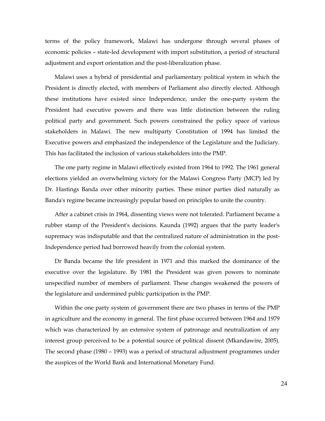terms of the policy framework, Malawi has undergone through several phases of economic policies – state.led development with import substitution, a period of structural adjustment and export orientation and the post.liberalization phase.

Malawi uses a hybrid of presidential and parliamentary political system in which the President is directly elected, with members of Parliament also directly elected. Although these institutions have existed since Independence, under the one.party system the President had executive powers and there was little distinction between the ruling political party and government. Such powers constrained the policy space of various stakeholders in Malawi. The new multiparty Constitution of 1994 has limited the Executive powers and emphasized the independence of the Legislature and the Judiciary. This has facilitated the inclusion of various stakeholders into the PMP.

The one party regime in Malawi effectively existed from 1964 to 1992. The 1961 general elections yielded an overwhelming victory for the Malawi Congress Party (MCP) led by Dr. Hastings Banda over other minority parties. These minor parties died naturally as Banda's regime became increasingly popular based on principles to unite the country.

After a cabinet crisis in 1964, dissenting views were not tolerated. Parliament became a rubber stamp of the President's decisions. Kaunda (1992) argues that the party leader's supremacy was indisputable and that the centralized nature of administration in the post-Independence period had borrowed heavily from the colonial system.

Dr Banda became the life president in 1971 and this marked the dominance of the executive over the legislature. By 1981 the President was given powers to nominate unspecified number of members of parliament. These changes weakened the powers of the legislature and undermined public participation in the PMP.

Within the one party system of government there are two phases in terms of the PMP in agriculture and the economy in general. The first phase occurred between 1964 and 1979 which was characterized by an extensive system of patronage and neutralization of any interest group perceived to be a potential source of political dissent (Mkandawire, 2005). The second phase (1980 – 1993) was a period of structural adjustment programmes under the auspices of the World Bank and International Monetary Fund.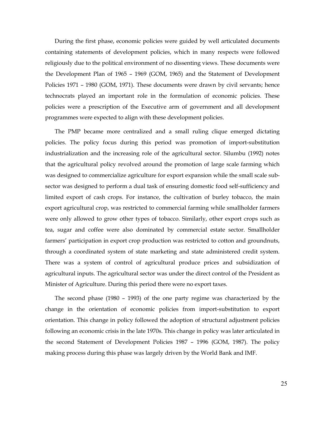During the first phase, economic policies were guided by well articulated documents containing statements of development policies, which in many respects were followed religiously due to the political environment of no dissenting views. These documents were the Development Plan of 1965 – 1969 (GOM, 1965) and the Statement of Development Policies 1971 - 1980 (GOM, 1971). These documents were drawn by civil servants; hence technocrats played an important role in the formulation of economic policies. These policies were a prescription of the Executive arm of government and all development programmes were expected to align with these development policies.

The PMP became more centralized and a small ruling clique emerged dictating policies. The policy focus during this period was promotion of import.substitution industrialization and the increasing role of the agricultural sector. Silumbu (1992) notes that the agricultural policy revolved around the promotion of large scale farming which was designed to commercialize agriculture for export expansion while the small scale sub. sector was designed to perform a dual task of ensuring domestic food self-sufficiency and limited export of cash crops. For instance, the cultivation of burley tobacco, the main export agricultural crop, was restricted to commercial farming while smallholder farmers were only allowed to grow other types of tobacco. Similarly, other export crops such as tea, sugar and coffee were also dominated by commercial estate sector. Smallholder farmers' participation in export crop production was restricted to cotton and groundnuts, through a coordinated system of state marketing and state administered credit system. There was a system of control of agricultural produce prices and subsidization of agricultural inputs. The agricultural sector was under the direct control of the President as Minister of Agriculture. During this period there were no export taxes.

The second phase (1980 – 1993) of the one party regime was characterized by the change in the orientation of economic policies from import.substitution to export orientation. This change in policy followed the adoption of structural adjustment policies following an economic crisis in the late 1970s. This change in policy was later articulated in the second Statement of Development Policies 1987 – 1996 (GOM, 1987). The policy making process during this phase was largely driven by the World Bank and IMF.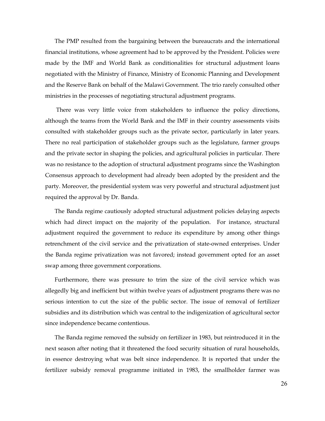The PMP resulted from the bargaining between the bureaucrats and the international financial institutions, whose agreement had to be approved by the President. Policies were made by the IMF and World Bank as conditionalities for structural adjustment loans negotiated with the Ministry of Finance, Ministry of Economic Planning and Development and the Reserve Bank on behalf of the Malawi Government. The trio rarely consulted other ministries in the processes of negotiating structural adjustment programs.

There was very little voice from stakeholders to influence the policy directions, although the teams from the World Bank and the IMF in their country assessments visits consulted with stakeholder groups such as the private sector, particularly in later years. There no real participation of stakeholder groups such as the legislature, farmer groups and the private sector in shaping the policies, and agricultural policies in particular. There was no resistance to the adoption of structural adjustment programs since the Washington Consensus approach to development had already been adopted by the president and the party. Moreover, the presidential system was very powerful and structural adjustment just required the approval by Dr. Banda.

The Banda regime cautiously adopted structural adjustment policies delaying aspects which had direct impact on the majority of the population. For instance, structural adjustment required the government to reduce its expenditure by among other things retrenchment of the civil service and the privatization of state-owned enterprises. Under the Banda regime privatization was not favored; instead government opted for an asset swap among three government corporations.

Furthermore, there was pressure to trim the size of the civil service which was allegedly big and inefficient but within twelve years of adjustment programs there was no serious intention to cut the size of the public sector. The issue of removal of fertilizer subsidies and its distribution which was central to the indigenization of agricultural sector since independence became contentious.

The Banda regime removed the subsidy on fertilizer in 1983, but reintroduced it in the next season after noting that it threatened the food security situation of rural households, in essence destroying what was belt since independence. It is reported that under the fertilizer subsidy removal programme initiated in 1983, the smallholder farmer was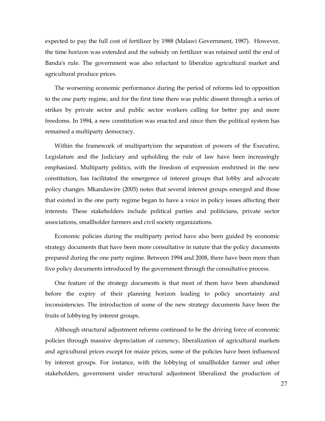expected to pay the full cost of fertilizer by 1988 (Malawi Government, 1987). However, the time horizon was extended and the subsidy on fertilizer was retained until the end of Banda's rule. The government was also reluctant to liberalize agricultural market and agricultural produce prices.

The worsening economic performance during the period of reforms led to opposition to the one party regime, and for the first time there was public dissent through a series of strikes by private sector and public sector workers calling for better pay and more freedoms. In 1994, a new constitution was enacted and since then the political system has remained a multiparty democracy.

Within the framework of multipartyism the separation of powers of the Executive, Legislature and the Judiciary and upholding the rule of law have been increasingly emphasized. Multiparty politics, with the freedom of expression enshrined in the new constitution, has facilitated the emergence of interest groups that lobby and advocate policy changes. Mkandawire (2005) notes that several interest groups emerged and those that existed in the one party regime began to have a voice in policy issues affecting their interests. These stakeholders include political parties and politicians, private sector associations, smallholder farmers and civil society organizations.

Economic policies during the multiparty period have also been guided by economic strategy documents that have been more consultative in nature that the policy documents prepared during the one party regime. Between 1994 and 2008, there have been more than five policy documents introduced by the government through the consultative process.

One feature of the strategy documents is that most of them have been abandoned before the expiry of their planning horizon leading to policy uncertainty and inconsistencies. The introduction of some of the new strategy documents have been the fruits of lobbying by interest groups.

Although structural adjustment reforms continued to be the driving force of economic policies through massive depreciation of currency, liberalization of agricultural markets and agricultural prices except for maize prices, some of the policies have been influenced by interest groups. For instance, with the lobbying of smallholder farmer and other stakeholders, government under structural adjustment liberalized the production of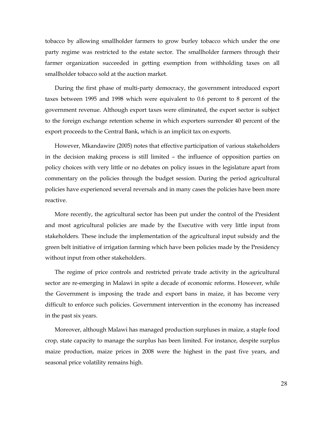tobacco by allowing smallholder farmers to grow burley tobacco which under the one party regime was restricted to the estate sector. The smallholder farmers through their farmer organization succeeded in getting exemption from withholding taxes on all smallholder tobacco sold at the auction market.

During the first phase of multi-party democracy, the government introduced export taxes between 1995 and 1998 which were equivalent to 0.6 percent to 8 percent of the government revenue. Although export taxes were eliminated, the export sector is subject to the foreign exchange retention scheme in which exporters surrender 40 percent of the export proceeds to the Central Bank, which is an implicit tax on exports.

However, Mkandawire (2005) notes that effective participation of various stakeholders in the decision making process is still limited – the influence of opposition parties on policy choices with very little or no debates on policy issues in the legislature apart from commentary on the policies through the budget session. During the period agricultural policies have experienced several reversals and in many cases the policies have been more reactive.

More recently, the agricultural sector has been put under the control of the President and most agricultural policies are made by the Executive with very little input from stakeholders. These include the implementation of the agricultural input subsidy and the green belt initiative of irrigation farming which have been policies made by the Presidency without input from other stakeholders.

The regime of price controls and restricted private trade activity in the agricultural sector are re-emerging in Malawi in spite a decade of economic reforms. However, while the Government is imposing the trade and export bans in maize, it has become very difficult to enforce such policies. Government intervention in the economy has increased in the past six years.

Moreover, although Malawi has managed production surpluses in maize, a staple food crop, state capacity to manage the surplus has been limited. For instance, despite surplus maize production, maize prices in 2008 were the highest in the past five years, and seasonal price volatility remains high.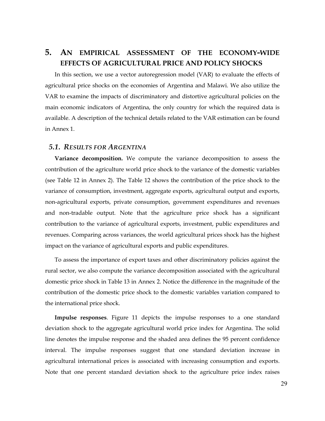## 5. AN EMPIRICAL ASSESSMENT OF THE ECONOMY-WIDE **EFFECTS OF AGRICULTURAL PRICE AND POLICY SHOCKS**

In this section, we use a vector autoregression model (VAR) to evaluate the effects of agricultural price shocks on the economies of Argentina and Malawi. We also utilize the VAR to examine the impacts of discriminatory and distortive agricultural policies on the main economic indicators of Argentina, the only country for which the required data is available. A description of the technical details related to the VAR estimation can be found in Annex 1.

#### *5.1. RESULTS FOR ARGENTINA*

**Variance decomposition.** We compute the variance decomposition to assess the contribution of the agriculture world price shock to the variance of the domestic variables (see Table 12 in Annex 2). The Table 12 shows the contribution of the price shock to the variance of consumption, investment, aggregate exports, agricultural output and exports, non.agricultural exports, private consumption, government expenditures and revenues and non.tradable output. Note that the agriculture price shock has a significant contribution to the variance of agricultural exports, investment, public expenditures and revenues. Comparing across variances, the world agricultural prices shock has the highest impact on the variance of agricultural exports and public expenditures.

To assess the importance of export taxes and other discriminatory policies against the rural sector, we also compute the variance decomposition associated with the agricultural domestic price shock in Table 13 in Annex 2. Notice the difference in the magnitude of the contribution of the domestic price shock to the domestic variables variation compared to the international price shock.

**Impulse responses**. Figure 11 depicts the impulse responses to a one standard deviation shock to the aggregate agricultural world price index for Argentina. The solid line denotes the impulse response and the shaded area defines the 95 percent confidence interval. The impulse responses suggest that one standard deviation increase in agricultural international prices is associated with increasing consumption and exports. Note that one percent standard deviation shock to the agriculture price index raises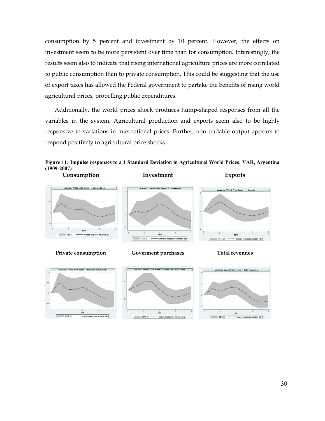consumption by 5 percent and investment by 10 percent. However, the effects on investment seem to be more persistent over time than for consumption. Interestingly, the results seem also to indicate that rising international agriculture prices are more correlated to public consumption than to private consumption. This could be suggesting that the use of export taxes has allowed the Federal government to partake the benefits of rising world agricultural prices, propelling public expenditures.

Additionally, the world prices shock produces hump.shaped responses from all the variables in the system. Agricultural production and exports seem also to be highly responsive to variations in international prices. Further, non tradable output appears to respond positively to agricultural price shocks.











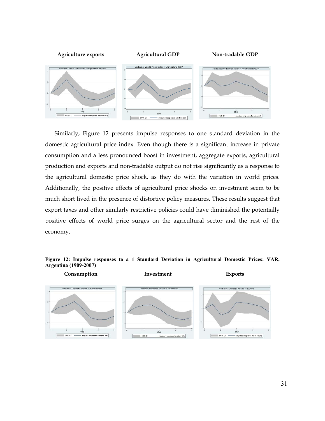

Similarly, Figure 12 presents impulse responses to one standard deviation in the domestic agricultural price index. Even though there is a significant increase in private consumption and a less pronounced boost in investment, aggregate exports, agricultural production and exports and non.tradable output do not rise significantly as a response to the agricultural domestic price shock, as they do with the variation in world prices. Additionally, the positive effects of agricultural price shocks on investment seem to be much short lived in the presence of distortive policy measures. These results suggest that export taxes and other similarly restrictive policies could have diminished the potentially positive effects of world price surges on the agricultural sector and the rest of the economy.

#### **Figure 12: Impulse responses to a 1 Standard Deviation in Agricultural Domestic Prices: VAR, Argentina (1909-2007)**

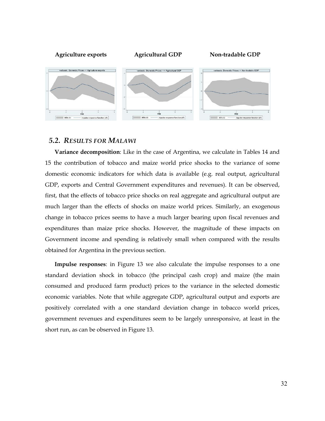

#### *5.2. RESULTS FOR MALAWI*

**Variance decomposition**: Like in the case of Argentina, we calculate in Tables 14 and 15 the contribution of tobacco and maize world price shocks to the variance of some domestic economic indicators for which data is available (e.g. real output, agricultural GDP, exports and Central Government expenditures and revenues). It can be observed, first, that the effects of tobacco price shocks on real aggregate and agricultural output are much larger than the effects of shocks on maize world prices. Similarly, an exogenous change in tobacco prices seems to have a much larger bearing upon fiscal revenues and expenditures than maize price shocks. However, the magnitude of these impacts on Government income and spending is relatively small when compared with the results obtained for Argentina in the previous section.

**Impulse responses**: in Figure 13 we also calculate the impulse responses to a one standard deviation shock in tobacco (the principal cash crop) and maize (the main consumed and produced farm product) prices to the variance in the selected domestic economic variables. Note that while aggregate GDP, agricultural output and exports are positively correlated with a one standard deviation change in tobacco world prices, government revenues and expenditures seem to be largely unresponsive, at least in the short run, as can be observed in Figure 13.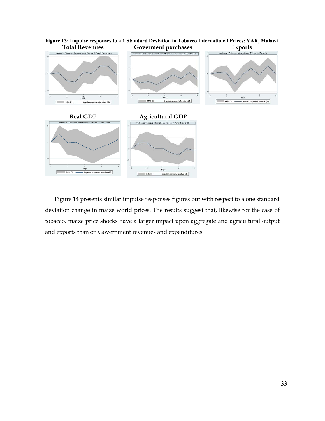

**Figure 13: Impulse responses to a 1 Standard Deviation in Tobacco International Prices: VAR, Malawi**

Figure 14 presents similar impulse responses figures but with respect to a one standard deviation change in maize world prices. The results suggest that, likewise for the case of tobacco, maize price shocks have a larger impact upon aggregate and agricultural output and exports than on Government revenues and expenditures.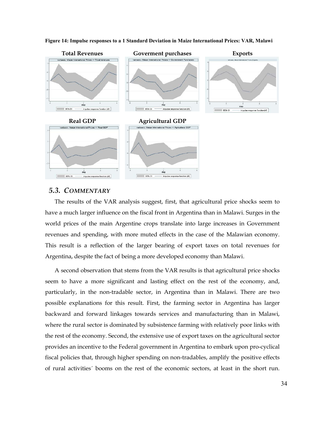

**Figure 14: Impulse responses to a 1 Standard Deviation in Maize International Prices: VAR, Malawi**

#### *5.3. COMMENTARY*

The results of the VAR analysis suggest, first, that agricultural price shocks seem to have a much larger influence on the fiscal front in Argentina than in Malawi. Surges in the world prices of the main Argentine crops translate into large increases in Government revenues and spending, with more muted effects in the case of the Malawian economy. This result is a reflection of the larger bearing of export taxes on total revenues for Argentina, despite the fact of being a more developed economy than Malawi.

A second observation that stems from the VAR results is that agricultural price shocks seem to have a more significant and lasting effect on the rest of the economy, and, particularly, in the non-tradable sector, in Argentina than in Malawi. There are two possible explanations for this result. First, the farming sector in Argentina has larger backward and forward linkages towards services and manufacturing than in Malawi, where the rural sector is dominated by subsistence farming with relatively poor links with the rest of the economy. Second, the extensive use of export taxes on the agricultural sector provides an incentive to the Federal government in Argentina to embark upon pro.cyclical fiscal policies that, through higher spending on non.tradables, amplify the positive effects of rural activities´ booms on the rest of the economic sectors, at least in the short run.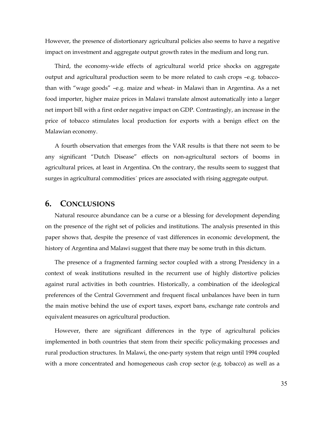However, the presence of distortionary agricultural policies also seems to have a negative impact on investment and aggregate output growth rates in the medium and long run.

Third, the economy.wide effects of agricultural world price shocks on aggregate output and agricultural production seem to be more related to cash crops –e.g. tobacco. than with "wage goods" –e.g. maize and wheat. in Malawi than in Argentina. As a net food importer, higher maize prices in Malawi translate almost automatically into a larger net import bill with a first order negative impact on GDP. Contrastingly, an increase in the price of tobacco stimulates local production for exports with a benign effect on the Malawian economy.

A fourth observation that emerges from the VAR results is that there not seem to be any significant "Dutch Disease" effects on non.agricultural sectors of booms in agricultural prices, at least in Argentina. On the contrary, the results seem to suggest that surges in agricultural commodities´ prices are associated with rising aggregate output.

#### **6. CONCLUSIONS**

Natural resource abundance can be a curse or a blessing for development depending on the presence of the right set of policies and institutions. The analysis presented in this paper shows that, despite the presence of vast differences in economic development, the history of Argentina and Malawi suggest that there may be some truth in this dictum.

The presence of a fragmented farming sector coupled with a strong Presidency in a context of weak institutions resulted in the recurrent use of highly distortive policies against rural activities in both countries. Historically, a combination of the ideological preferences of the Central Government and frequent fiscal unbalances have been in turn the main motive behind the use of export taxes, export bans, exchange rate controls and equivalent measures on agricultural production.

However, there are significant differences in the type of agricultural policies implemented in both countries that stem from their specific policymaking processes and rural production structures. In Malawi, the one-party system that reign until 1994 coupled with a more concentrated and homogeneous cash crop sector (e.g. tobacco) as well as a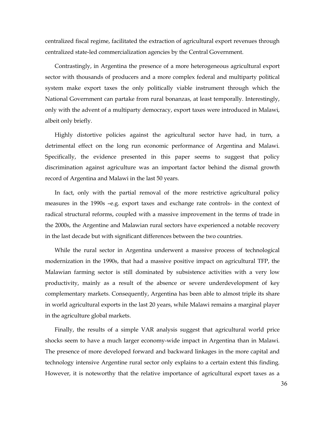centralized fiscal regime, facilitated the extraction of agricultural export revenues through centralized state.led commercialization agencies by the Central Government.

Contrastingly, in Argentina the presence of a more heterogeneous agricultural export sector with thousands of producers and a more complex federal and multiparty political system make export taxes the only politically viable instrument through which the National Government can partake from rural bonanzas, at least temporally. Interestingly, only with the advent of a multiparty democracy, export taxes were introduced in Malawi, albeit only briefly.

Highly distortive policies against the agricultural sector have had, in turn, a detrimental effect on the long run economic performance of Argentina and Malawi. Specifically, the evidence presented in this paper seems to suggest that policy discrimination against agriculture was an important factor behind the dismal growth record of Argentina and Malawi in the last 50 years.

In fact, only with the partial removal of the more restrictive agricultural policy measures in the 1990s –e.g. export taxes and exchange rate controls. in the context of radical structural reforms, coupled with a massive improvement in the terms of trade in the 2000s, the Argentine and Malawian rural sectors have experienced a notable recovery in the last decade but with significant differences between the two countries.

While the rural sector in Argentina underwent a massive process of technological modernization in the 1990s, that had a massive positive impact on agricultural TFP, the Malawian farming sector is still dominated by subsistence activities with a very low productivity, mainly as a result of the absence or severe underdevelopment of key complementary markets. Consequently, Argentina has been able to almost triple its share in world agricultural exports in the last 20 years, while Malawi remains a marginal player in the agriculture global markets.

Finally, the results of a simple VAR analysis suggest that agricultural world price shocks seem to have a much larger economy.wide impact in Argentina than in Malawi. The presence of more developed forward and backward linkages in the more capital and technology intensive Argentine rural sector only explains to a certain extent this finding. However, it is noteworthy that the relative importance of agricultural export taxes as a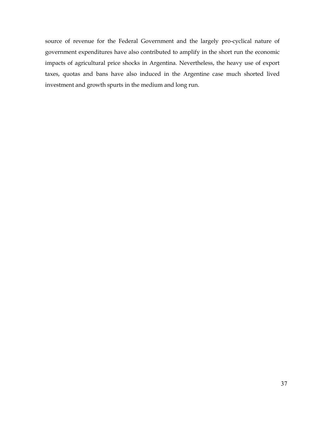source of revenue for the Federal Government and the largely pro.cyclical nature of government expenditures have also contributed to amplify in the short run the economic impacts of agricultural price shocks in Argentina. Nevertheless, the heavy use of export taxes, quotas and bans have also induced in the Argentine case much shorted lived investment and growth spurts in the medium and long run.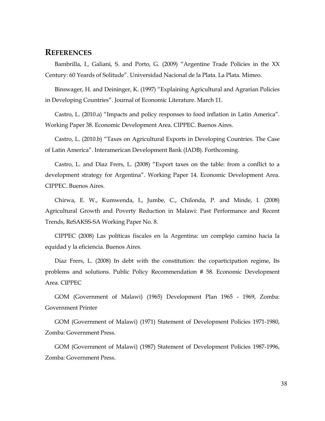#### **REFERENCES**

Bambrilla, I., Galiani, S. and Porto, G. (2009) "Argentine Trade Policies in the XX Century: 60 Yeards of Solitude". Universidad Nacional de la Plata. La Plata. Mimeo.

Binswager, H. and Deininger, K. (1997) "Explaining Agricultural and Agrarian Policies in Developing Countries". Journal of Economic Literature. March 11.

Castro, L. (2010.a) "Impacts and policy responses to food inflation in Latin America". Working Paper 38. Economic Development Area. CIPPEC. Buenos Aires.

Castro, L. (2010.b) "Taxes on Agricultural Exports in Developing Countries. The Case of Latin America". Interamerican Development Bank (IADB). Forthcoming.

Castro, L. and Diaz Frers, L. (2008) "Export taxes on the table: from a conflict to a development strategy for Argentina". Working Paper 14. Economic Development Area. CIPPEC. Buenos Aires.

Chirwa, E. W., Kumwenda, I., Jumbe, C., Chilonda, P. and Minde, I. (2008) Agricultural Growth and Poverty Reduction in Malawi: Past Performance and Recent Trends, ReSAKSS.SA Working Paper No. 8.

CIPPEC (2008) Las políticas fiscales en la Argentina: un complejo camino hacia la equidad y la eficiencia. Buenos Aires.

Diaz Frers, L. (2008) In debt with the constitution: the coparticipation regime, Its problems and solutions. Public Policy Recommendation # 58. Economic Development Area. CIPPEC

GOM (Government of Malawi) (1965) Development Plan 1965 . 1969, Zomba: Government Printer

GOM (Government of Malawi) (1971) Statement of Development Policies 1971.1980, Zomba: Government Press.

GOM (Government of Malawi) (1987) Statement of Development Policies 1987.1996, Zomba: Government Press.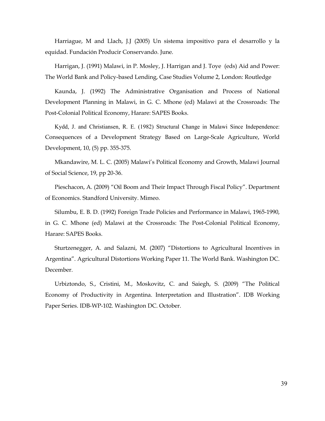Harriague, M and Llach, J.J (2005) Un sistema impositivo para el desarrollo y la equidad. Fundación Producir Conservando. June.

Harrigan, J. (1991) Malawi, in P. Mosley, J. Harrigan and J. Toye (eds) Aid and Power: The World Bank and Policy.based Lending, Case Studies Volume 2, London: Routledge

Kaunda, J. (1992) The Administrative Organisation and Process of National Development Planning in Malawi, in G. C. Mhone (ed) Malawi at the Crossroads: The Post.Colonial Political Economy, Harare: SAPES Books.

Kydd, J. and Christiansen, R. E. (1982) Structural Change in Malawi Since Independence: Consequences of a Development Strategy Based on Large.Scale Agriculture, World Development, 10, (5) pp. 355.375.

Mkandawire, M. L. C. (2005) Malawi's Political Economy and Growth, Malawi Journal of Social Science, 19, pp 20.36.

Pieschacon, A. (2009) "Oil Boom and Their Impact Through Fiscal Policy". Department of Economics. Standford University. Mimeo.

Silumbu, E. B. D. (1992) Foreign Trade Policies and Performance in Malawi, 1965.1990, in G. C. Mhone (ed) Malawi at the Crossroads: The Post.Colonial Political Economy, Harare: SAPES Books.

Sturtzenegger, A. and Salazni, M. (2007) "Distortions to Agricultural Incentives in Argentina". Agricultural Distortions Working Paper 11. The World Bank. Washington DC. December.

Urbiztondo, S., Cristini, M., Moskovitz, C. and Saiegh, S. (2009) "The Political Economy of Productivity in Argentina. Interpretation and Illustration". IDB Working Paper Series. IDB-WP-102. Washington DC. October.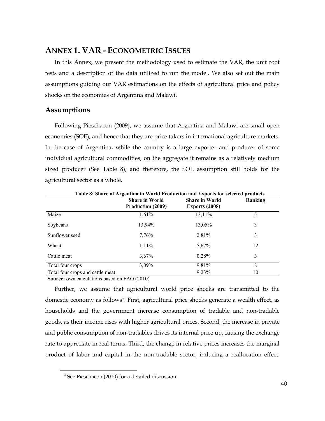## **ANNEX 1. VAR - ECONOMETRIC ISSUES**

In this Annex, we present the methodology used to estimate the VAR, the unit root tests and a description of the data utilized to run the model. We also set out the main assumptions guiding our VAR estimations on the effects of agricultural price and policy shocks on the economies of Argentina and Malawi.

## **Assumptions**

Following Pieschacon (2009), we assume that Argentina and Malawi are small open economies (SOE), and hence that they are price takers in international agriculture markets. In the case of Argentina, while the country is a large exporter and producer of some individual agricultural commodities, on the aggregate it remains as a relatively medium sized producer (See Table 8), and therefore, the SOE assumption still holds for the agricultural sector as a whole.

| Table 8: Share of Argentina in World Production and Exports for selected products |                                                   |                                         |         |  |  |  |  |  |
|-----------------------------------------------------------------------------------|---------------------------------------------------|-----------------------------------------|---------|--|--|--|--|--|
|                                                                                   | <b>Share in World</b><br><b>Production (2009)</b> | <b>Share in World</b><br>Exports (2008) | Ranking |  |  |  |  |  |
| Maize                                                                             | 1,61%                                             | 13,11%                                  | 5       |  |  |  |  |  |
| Soybeans                                                                          | 13,94%                                            | 13,05%                                  | 3       |  |  |  |  |  |
| Sunflower seed                                                                    | 7,76%                                             | 2,81%                                   | 3       |  |  |  |  |  |
| Wheat                                                                             | $1,11\%$                                          | 5,67%                                   | 12      |  |  |  |  |  |
| Cattle meat                                                                       | 3,67%                                             | 0,28%                                   | 3       |  |  |  |  |  |
| Total four crops                                                                  | 3,09%                                             | 9,81%                                   | 8       |  |  |  |  |  |
| Total four crops and cattle meat                                                  |                                                   | 9,23%                                   | 10      |  |  |  |  |  |

**Source:** own calculations based on FAO (2010)

Further, we assume that agricultural world price shocks are transmitted to the domestic economy as follows<sup>[3](#page-39-0)</sup>. First, agricultural price shocks generate a wealth effect, as households and the government increase consumption of tradable and non.tradable goods, as their income rises with higher agricultural prices. Second, the increase in private and public consumption of non-tradables drives its internal price up, causing the exchange rate to appreciate in real terms. Third, the change in relative prices increases the marginal product of labor and capital in the non.tradable sector, inducing a reallocation effect.

<span id="page-39-0"></span><sup>1111111111111111111111111111111111111111111111111111111111</sup>  $3$  See Pieschacon (2010) for a detailed discussion.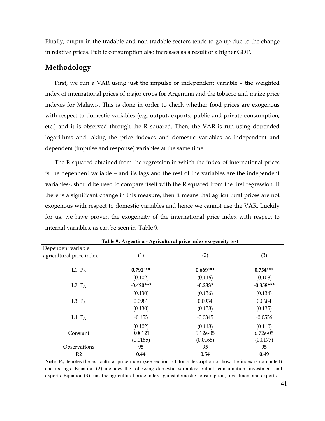Finally, output in the tradable and non-tradable sectors tends to go up due to the change in relative prices. Public consumption also increases as a result of a higher GDP.

#### **Methodology**

First, we run a VAR using just the impulse or independent variable – the weighted index of international prices of major crops for Argentina and the tobacco and maize price indexes for Malawi.. This is done in order to check whether food prices are exogenous with respect to domestic variables (e.g. output, exports, public and private consumption, etc.) and it is observed through the R squared. Then, the VAR is run using detrended logarithms and taking the price indexes and domestic variables as independent and dependent (impulse and response) variables at the same time.

The R squared obtained from the regression in which the index of international prices is the dependent variable – and its lags and the rest of the variables are the independent variables-, should be used to compare itself with the R squared from the first regression. If there is a significant change in this measure, then it means that agricultural prices are not exogenous with respect to domestic variables and hence we cannot use the VAR. Luckily for us, we have proven the exogeneity of the international price index with respect to internal variables, as can be seen in Table 9.

| Table 9: Argentina - Agricultural price index exogeneity test |             |            |             |  |  |  |  |  |
|---------------------------------------------------------------|-------------|------------|-------------|--|--|--|--|--|
| Dependent variable:                                           |             |            |             |  |  |  |  |  |
| agricultural price index                                      | (1)         | (2)        | (3)         |  |  |  |  |  |
|                                                               |             |            |             |  |  |  |  |  |
| $L1. P_A$                                                     | $0.791***$  | $0.669***$ | $0.734***$  |  |  |  |  |  |
|                                                               | (0.102)     | (0.116)    | (0.108)     |  |  |  |  |  |
| L <sub>2</sub> . $P_A$                                        | $-0.420***$ | $-0.233*$  | $-0.358***$ |  |  |  |  |  |
|                                                               | (0.130)     | (0.136)    | (0.134)     |  |  |  |  |  |
| L3. $P_A$                                                     | 0.0981      | 0.0934     | 0.0684      |  |  |  |  |  |
|                                                               | (0.130)     | (0.138)    | (0.135)     |  |  |  |  |  |
| L <sub>4</sub> . $P_A$                                        | $-0.153$    | $-0.0345$  | $-0.0536$   |  |  |  |  |  |
|                                                               | (0.102)     | (0.118)    | (0.110)     |  |  |  |  |  |
| Constant                                                      | 0.00121     | 9.12e-05   | 6.72e-05    |  |  |  |  |  |
|                                                               | (0.0185)    | (0.0168)   | (0.0177)    |  |  |  |  |  |
| Observations                                                  | 95          | 95         | 95          |  |  |  |  |  |
| R <sub>2</sub>                                                | 0.44        | 0.54       | 0.49        |  |  |  |  |  |

**Table 9: Argentina - Agricultural price index exogeneity test**

**Note**:  $P_A$  denotes the agricultural price index (see section 5.1 for a description of how the index is computed) and its lags. Equation (2) includes the following domestic variables: output, consumption, investment and exports. Equation (3) runs the agricultural price index against domestic consumption, investment and exports.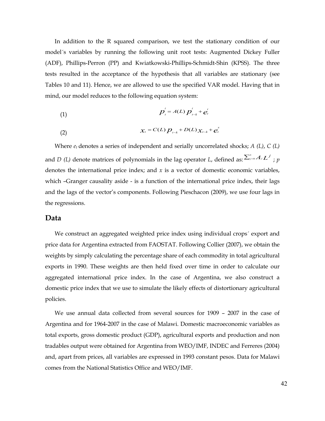In addition to the R squared comparison, we test the stationary condition of our model´s variables by running the following unit root tests: Augmented Dickey Fuller (ADF), Phillips.Perron (PP) and Kwiatkowski.Phillips.Schmidt.Shin (KPSS). The three tests resulted in the acceptance of the hypothesis that all variables are stationary (see Tables 10 and 11). Hence, we are allowed to use the specified VAR model. Having that in mind, our model reduces to the following equation system:

(1) 
$$
p_{t}^{i} = A(L) p_{t-k}^{i} + e_{t}^{i}
$$

(2) 
$$
\mathcal{X}_{t} = C(L) p_{t-k} + D(L) \mathcal{X}_{t-k} + e_{t}^{*}
$$

Where  $e_t$  denotes a series of independent and serially uncorrelated shocks;  $A$  (L),  $C$  (L) and *D* (*L*) denote matrices of polynomials in the lag operator *L*, defined as:  $\sum_{j=0}^{n} A_j L^j$ ; p denotes the international price index; and  $x$  is a vector of domestic economic variables, which –Granger causality aside - is a function of the international price index, their lags and the lags of the vector's components. Following Pieschacon (2009), we use four lags in the regressions.

#### **Data**

We construct an aggregated weighted price index using individual crops´ export and price data for Argentina extracted from FAOSTAT. Following Collier (2007), we obtain the weights by simply calculating the percentage share of each commodity in total agricultural exports in 1990. These weights are then held fixed over time in order to calculate our aggregated international price index. In the case of Argentina, we also construct a domestic price index that we use to simulate the likely effects of distortionary agricultural policies.

We use annual data collected from several sources for 1909 – 2007 in the case of Argentina and for 1964.2007 in the case of Malawi. Domestic macroeconomic variables as total exports, gross domestic product (GDP), agricultural exports and production and non tradables output were obtained for Argentina from WEO/IMF, INDEC and Ferreres (2004) and, apart from prices, all variables are expressed in 1993 constant pesos. Data for Malawi comes from the National Statistics Office and WEO/IMF.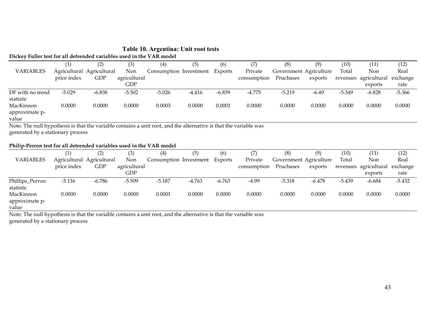#### **Table 10. Argentina: Unit root tests Dickey Fuller test for all detrended variables used in the VAR model**

|                  | $\left( 1\right)$ | (2)                       | (3)          | (4)                    | (5)      | (6)      |             | (8)                    | (9)     | (10)     | (11)                  | (12)     |
|------------------|-------------------|---------------------------|--------------|------------------------|----------|----------|-------------|------------------------|---------|----------|-----------------------|----------|
| <b>VARIABLES</b> |                   | Agricultural Agricultural | Non          | Consumption Investment |          | Exports  | Private     | Government Agriculture |         | Total    | Non                   | Real     |
|                  | price index       | <b>GDP</b>                | agricultural |                        |          |          | consumption | Pruchases              | exports |          | revenues agricultural | exchange |
|                  |                   |                           | GDP          |                        |          |          |             |                        |         |          | exports               | rate     |
| DF with no trend | $-5.029$          | $-6.838$                  | $-5.502$     | $-5.026$               | $-4.416$ | $-6.859$ | $-4.775$    | $-5.219$               | $-6.49$ | $-5.349$ | $-6.828$              | $-5.366$ |
| statistic        |                   |                           |              |                        |          |          |             |                        |         |          |                       |          |
| MacKinnon        | 0.0000            | 0.0000                    | 0.0000       | 0.0003                 | 0.0000   | 0.0001   | 0.0000      | 0.0000                 | 0.0000  | 0.0000   | 0.0000                | 0.0000   |
| approximate p-   |                   |                           |              |                        |          |          |             |                        |         |          |                       |          |
| value            |                   |                           |              |                        |          |          |             |                        |         |          |                       |          |

Note: The null hypothesis is that the variable contains a unit root, and the alternative is that the variable was generated by a stationary process

#### Philip-Perron test for all detrended variables used in the VAR model

|                  |             |                           | (3)          | $\left( 4\right)$      | (5)      | (6)      |             | (8)                    | (9)      | (10)     | (11)         | (12)     |
|------------------|-------------|---------------------------|--------------|------------------------|----------|----------|-------------|------------------------|----------|----------|--------------|----------|
| <b>VARIABLES</b> |             | Agricultural Agricultural | Non          | Consumption Investment |          | Exports  | Private     | Government Agriculture |          | Total    | Non          | Real     |
|                  | price index | <b>GDP</b>                | agricultural |                        |          |          | consumption | Pruchases              | exports  | revenues | agricultural | exchange |
|                  |             |                           | <b>GDP</b>   |                        |          |          |             |                        |          |          | exports      | rate     |
| Phillips_Perron  | $-5.116$    | $-6.786$                  | $-5.509$     | $-5.187$               | $-4.763$ | $-6.763$ | $-4.99$     | $-5.318$               | $-6.478$ | $-5.439$ | $-6.684$     | $-5.432$ |
| statistic        |             |                           |              |                        |          |          |             |                        |          |          |              |          |
| MacKinnon        | 0.0000      | 0.0000                    | 0.0000       | 0.0001                 | 0.0000   | 0.0000   | 0.0000      | 0.0000                 | 0.0000   | 0.0000   | 0.0000       | 0.0000   |
| approximate p-   |             |                           |              |                        |          |          |             |                        |          |          |              |          |
| value            |             |                           |              |                        |          |          |             |                        |          |          |              |          |

Note: The null hypothesis is that the variable contains a unit root, and the alternative is that the variable was generated by a stationary process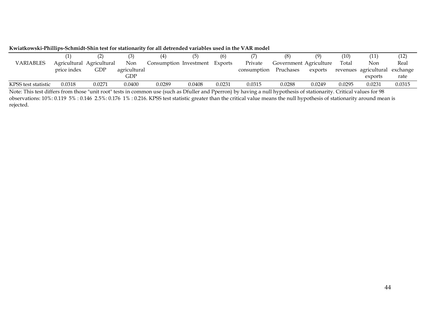|                     |                           |            |              |                        | (5)    | (6)     |                       | (8)                    |         | (10)   | (11)                           | (12)   |
|---------------------|---------------------------|------------|--------------|------------------------|--------|---------|-----------------------|------------------------|---------|--------|--------------------------------|--------|
| VARIABLES           | Agricultural Agricultural |            | <b>Non</b>   | Consumption Investment |        | Exports | Private               | Government Agriculture |         | Total  | Non                            | Real   |
|                     | price index               | <b>GDP</b> | agricultural |                        |        |         | consumption Pruchases |                        | exports |        | revenues agricultural exchange |        |
|                     |                           |            | GDP          |                        |        |         |                       |                        |         |        | exports                        | rate   |
| KPSS test statistic | 0.0318                    | 0.0271     | 0.0400       | 0.0289                 | 0.0408 | 0.0231  | 0.0315                | 0.0288                 | 0.0249  | 0.0295 | 0.0231                         | 0.0315 |

Kwiatkowski-Phillips-Schmidt-Shin test for stationarity for all detrended variables used in the VAR model

Note: This test differs from those "unit root" tests in common use (such as Dfuller and Pperron) by having a null hypothesis of stationarity. Critical values for 98 observations: 10%: 0.119 5% : 0.146 2.5%: 0.176 1% : 0.216. KPSS test statistic greater than the critical value means the null hypothesis of stationarity around mean is rejected.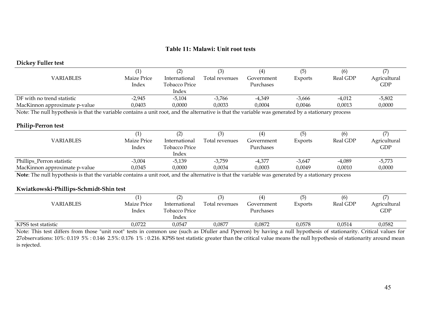#### **Table 11: Malawi: Unit root tests**

#### **Dickey Fuller test**

|                                                                                                                                                     |             |               |                |            | (5)      | (6)      |              |  |
|-----------------------------------------------------------------------------------------------------------------------------------------------------|-------------|---------------|----------------|------------|----------|----------|--------------|--|
| <b>VARIABLES</b>                                                                                                                                    | Maize Price | International | Total revenues | Government | Exports  | Real GDP | Agricultural |  |
|                                                                                                                                                     | Index       | Tobacco Price |                | Purchases  |          |          | GDP          |  |
|                                                                                                                                                     |             | Index         |                |            |          |          |              |  |
| DF with no trend statistic                                                                                                                          | $-2.945$    | $-5.104$      | $-3,766$       | -4,349     | $-3,666$ | $-4,012$ | $-5,802$     |  |
| MacKinnon approximate p-value                                                                                                                       | 0.0403      | 0.0000        | 0,0033         | 0.0004     | 0.0046   | 0.0013   | 0,0000       |  |
| Note: The null hypothesis is that the variable contains a unit root, and the alternative is that the variable was generated by a stationary process |             |               |                |            |          |          |              |  |

#### **Philip-Perron test**

|                                                                                                                 |                    |               |                |            | (5)                  | (6)      |              |
|-----------------------------------------------------------------------------------------------------------------|--------------------|---------------|----------------|------------|----------------------|----------|--------------|
| VARIABLES                                                                                                       | Maize Price        | International | Total revenues | Government | Exports              | Real GDP | Agricultural |
|                                                                                                                 | Index              | Tobacco Price |                | Purchases  |                      |          | <b>GDP</b>   |
|                                                                                                                 |                    | Index         |                |            |                      |          |              |
| Phillips_Perron statistic                                                                                       | $-3,004$           | -5,139        | -3,759         | $-4,377$   | $-3,647$             | $-4,089$ | $-5,773$     |
| MacKinnon approximate p-value                                                                                   | 0,0345             | 0.0000        | 0,0034         | 0,0003     | 0,0049               | 0,0010   | 0,0000       |
| the contract of the contract of the contract of the contract of the contract of the contract of the contract of | .<br>$\sim$ $\sim$ |               |                | .          | $\sim$ $\sim$ $\sim$ |          |              |

**Note**: The null hypothesis is that the variable contains a unit root, and the alternative is that the variable was generated by a stationary process

#### Kwiatkowski-Phillips-Schmidt-Shin test

| VARIABLES           | (1,<br>Maize Price<br>Index | $\sim$<br>International<br>Tobacco Price<br>Index | Total revenues | $\left( 4\right)$<br>Government<br>Purchases | Exports | (6)<br>Real GDP | Agricultural<br>GDP |
|---------------------|-----------------------------|---------------------------------------------------|----------------|----------------------------------------------|---------|-----------------|---------------------|
| KPSS test statistic | 0,0722                      | 0,0547                                            | 0,0877         | 0,0872                                       | 0,0578  | 0,0514          | 0,0582              |

Note: This test differs from those "unit root" tests in common use (such as Dfuller and Pperron) by having a null hypothesis of stationarity. Critical values for 27observations: 10%: 0.119 5% : 0.146 2.5%: 0.176 1% : 0.216. KPSS test statistic greater than the critical value means the null hypothesis of stationarity around mean is rejected.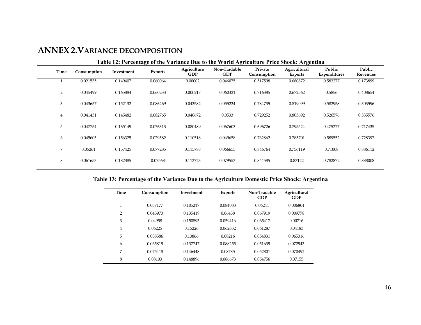## **ANNEX 2.VARIANCE DECOMPOSITION**

| Table 12: Percentage of the Variance Due to the World Agriculture Price Shock: Argentina |             |            |                |                    |                            |                        |                                |                        |                    |
|------------------------------------------------------------------------------------------|-------------|------------|----------------|--------------------|----------------------------|------------------------|--------------------------------|------------------------|--------------------|
| Time                                                                                     | Consumption | Investment | <b>Exports</b> | Agriculture<br>GDP | Non-Tradable<br><b>GDP</b> | Private<br>Consumption | Agricultural<br><b>Exports</b> | Public<br>Expenditures | Public<br>Revenues |
|                                                                                          | 0.021535    | 0.149407   | 0.060064       | 0.00002            | 0.046075                   | 0.517598               | 0.680872                       | 0.583277               | 0.173899           |
| 2                                                                                        | 0.045499    | 0.165884   | 0.060233       | 0.000217           | 0.060321                   | 0.716385               | 0.672562                       | 0.5856                 | 0.408654           |
| 3                                                                                        | 0.043657    | 0.152132   | 0.086269       | 0.043582           | 0.055234                   | 0.784735               | 0.819099                       | 0.582958               | 0.303596           |
| 4                                                                                        | 0.041431    | 0.145482   | 0.082765       | 0.040672           | 0.0533                     | 0.729252               | 0.803692                       | 0.520576               | 0.535576           |
| 5                                                                                        | 0.047754    | 0.165149   | 0.076313       | 0.080489           | 0.067603                   | 0.696726               | 0.795524                       | 0.475277               | 0.717435           |
| 6                                                                                        | 0.045605    | 0.156325   | 0.079582       | 0.110518           | 0.069658                   | 0.762862               | 0.785701                       | 0.589552               | 0.728397           |
| 7                                                                                        | 0.05261     | 0.157425   | 0.077285       | 0.115788           | 0.066655                   | 0.846764               | 0.756119                       | 0.71008                | 0.886112           |
| 8                                                                                        | 0.061653    | 0.182385   | 0.07568        | 0.113723           | 0.079553                   | 0.844585               | 0.83122                        | 0.782872               | 0.888008           |
|                                                                                          |             |            |                |                    |                            |                        |                                |                        |                    |

#### **Table 12: Percentage of the Variance Due to the World Agriculture Price Shock: Argentina**

#### **Table 13: Percentage of the Variance Due to the Agriculture Domestic Price Shock: Argentina**

| Time           | Consumption | Investment | <b>Exports</b> | Non-Tradable<br><b>GDP</b> | Agricultural<br><b>GDP</b> |
|----------------|-------------|------------|----------------|----------------------------|----------------------------|
| 1              | 0.037177    | 0.105217   | 0.084083       | 0.06241                    | 0.006804                   |
| $\overline{2}$ | 0.043973    | 0.135419   | 0.06458        | 0.067919                   | 0.009778                   |
| 3              | 0.04958     | 0.150893   | 0.059416       | 0.065417                   | 0.00716                    |
| 4              | 0.06225     | 0.15226    | 0.062632       | 0.061287                   | 0.04183                    |
| 5              | 0.058586    | 0.13866    | 0.08216        | 0.054831                   | 0.065316                   |
| 6              | 0.065819    | 0.137747   | 0.088255       | 0.051639                   | 0.072943                   |
| 7              | 0.075418    | 0.146448   | 0.08785        | 0.052801                   | 0.070492                   |
| 8              | 0.08103     | 0.148896   | 0.086673       | 0.054756                   | 0.07155                    |